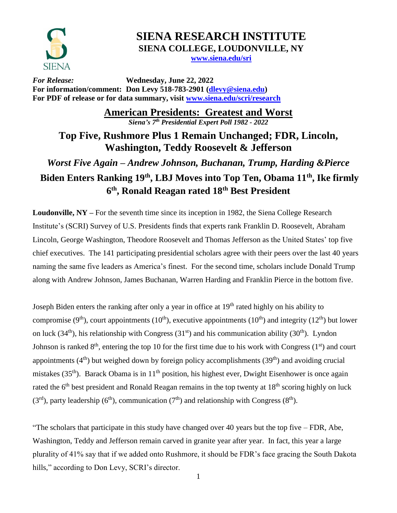

## **SIENA RESEARCH INSTITUTE SIENA COLLEGE, LOUDONVILLE, NY**

**[www.siena.edu/sri](http://www.siena.edu/sri)**

*For Release:* **Wednesday, June 22, 2022 For information/comment: Don Levy 518-783-2901 [\(dlevy@siena.edu\)](mailto:dlevy@siena.edu) For PDF of release or for data summary, visit [www.siena.edu/scri/research](http://www.siena.edu/scri/research)**

**American Presidents: Greatest and Worst**

*Siena's 7 th Presidential Expert Poll 1982 - 2022*

**Top Five, Rushmore Plus 1 Remain Unchanged; FDR, Lincoln, Washington, Teddy Roosevelt & Jefferson**

*Worst Five Again – Andrew Johnson, Buchanan, Trump, Harding &Pierce* **Biden Enters Ranking 19th, LBJ Moves into Top Ten, Obama 11th, Ike firmly 6 th, Ronald Reagan rated 18th Best President**

**Loudonville, NY –** For the seventh time since its inception in 1982, the Siena College Research Institute's (SCRI) Survey of U.S. Presidents finds that experts rank Franklin D. Roosevelt, Abraham Lincoln, George Washington, Theodore Roosevelt and Thomas Jefferson as the United States' top five chief executives. The 141 participating presidential scholars agree with their peers over the last 40 years naming the same five leaders as America's finest. For the second time, scholars include Donald Trump along with Andrew Johnson, James Buchanan, Warren Harding and Franklin Pierce in the bottom five.

Joseph Biden enters the ranking after only a year in office at 19<sup>th</sup> rated highly on his ability to compromise (9<sup>th</sup>), court appointments (10<sup>th</sup>), executive appointments (10<sup>th</sup>) and integrity (12<sup>th</sup>) but lower on luck (34<sup>th</sup>), his relationship with Congress (31<sup>st</sup>) and his communication ability (30<sup>th</sup>). Lyndon Johnson is ranked  $8<sup>th</sup>$ , entering the top 10 for the first time due to his work with Congress (1<sup>st</sup>) and court appointments  $(4<sup>th</sup>)$  but weighed down by foreign policy accomplishments  $(39<sup>th</sup>)$  and avoiding crucial mistakes (35<sup>th</sup>). Barack Obama is in 11<sup>th</sup> position, his highest ever, Dwight Eisenhower is once again rated the  $6<sup>th</sup>$  best president and Ronald Reagan remains in the top twenty at  $18<sup>th</sup>$  scoring highly on luck (3<sup>rd</sup>), party leadership (6<sup>th</sup>), communication (7<sup>th</sup>) and relationship with Congress (8<sup>th</sup>).

"The scholars that participate in this study have changed over 40 years but the top five – FDR, Abe, Washington, Teddy and Jefferson remain carved in granite year after year. In fact, this year a large plurality of 41% say that if we added onto Rushmore, it should be FDR's face gracing the South Dakota hills," according to Don Levy, SCRI's director.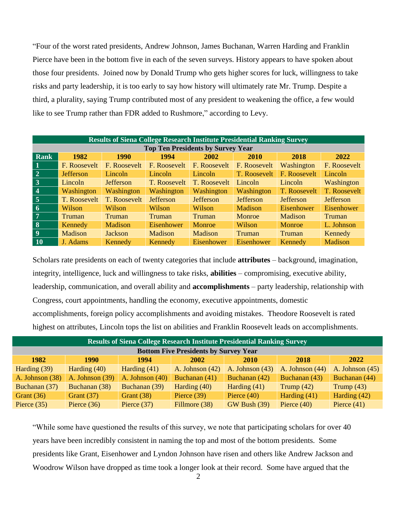"Four of the worst rated presidents, Andrew Johnson, James Buchanan, Warren Harding and Franklin Pierce have been in the bottom five in each of the seven surveys. History appears to have spoken about those four presidents. Joined now by Donald Trump who gets higher scores for luck, willingness to take risks and party leadership, it is too early to say how history will ultimately rate Mr. Trump. Despite a third, a plurality, saying Trump contributed most of any president to weakening the office, a few would like to see Trump rather than FDR added to Rushmore," according to Levy.

| <b>Results of Siena College Research Institute Presidential Ranking Survey</b> |                  |                  |                   |                  |                  |                  |                  |
|--------------------------------------------------------------------------------|------------------|------------------|-------------------|------------------|------------------|------------------|------------------|
| <b>Top Ten Presidents by Survey Year</b>                                       |                  |                  |                   |                  |                  |                  |                  |
| Rank                                                                           | 1982             | <b>1990</b>      | 1994              | 2002             | 2010             | 2018             | 2022             |
| $\mathbf{1}$                                                                   | F. Roosevelt     | F. Roosevelt     | F. Roosevelt      | F. Roosevelt     | F. Roosevelt     | Washington       | F. Roosevelt     |
| $\overline{2}$                                                                 | <b>Jefferson</b> | Lincoln          | Lincoln           | Lincoln          | T. Roosevelt     | F. Roosevelt     | Lincoln          |
| $3^{\circ}$                                                                    | Lincoln          | <b>Jefferson</b> | T. Roosevelt      | T. Roosevelt     | Lincoln          | Lincoln          | Washington       |
| $\overline{4}$                                                                 | Washington       | Washington       | Washington        | Washington       | Washington       | T. Roosevelt     | T. Roosevelt     |
| $\overline{5}$                                                                 | T. Roosevelt     | T. Roosevelt     | <b>Jefferson</b>  | <b>Jefferson</b> | <b>Jefferson</b> | <b>Jefferson</b> | <b>Jefferson</b> |
| $\overline{6}$                                                                 | Wilson           | Wilson           | Wilson            | Wilson           | <b>Madison</b>   | Eisenhower       | Eisenhower       |
| $\overline{7}$                                                                 | Truman           | Truman           | <b>Truman</b>     | Truman           | Monroe           | <b>Madison</b>   | Truman           |
| $\vert 8 \vert$                                                                | Kennedy          | <b>Madison</b>   | <b>Eisenhower</b> | Monroe           | Wilson           | Monroe           | L. Johnson       |
| $\overline{9}$                                                                 | Madison          | <b>Jackson</b>   | Madison           | <b>Madison</b>   | Truman           | Truman           | Kennedy          |
| <b>10</b>                                                                      | J. Adams         | Kennedy          | Kennedy           | Eisenhower       | Eisenhower       | Kennedy          | Madison          |

Scholars rate presidents on each of twenty categories that include **attributes** – background, imagination, integrity, intelligence, luck and willingness to take risks, **abilities** – compromising, executive ability, leadership, communication, and overall ability and **accomplishments** – party leadership, relationship with Congress, court appointments, handling the economy, executive appointments, domestic accomplishments, foreign policy accomplishments and avoiding mistakes. Theodore Roosevelt is rated highest on attributes, Lincoln tops the list on abilities and Franklin Roosevelt leads on accomplishments.

| <b>Results of Siena College Research Institute Presidential Ranking Survey</b> |                 |                   |                   |                     |                   |                   |
|--------------------------------------------------------------------------------|-----------------|-------------------|-------------------|---------------------|-------------------|-------------------|
| <b>Bottom Five Presidents by Survey Year</b>                                   |                 |                   |                   |                     |                   |                   |
| 1982                                                                           | 1990            | 1994              | <b>2002</b>       | <b>2010</b>         | 2018              | 2022              |
| Harding (39)                                                                   | Harding $(40)$  | Harding $(41)$    | A. Johnson $(42)$ | A. Johnson $(43)$   | A. Johnson $(44)$ | A. Johnson $(45)$ |
| A. Johnson (38)                                                                | A. Johnson (39) | A. Johnson $(40)$ | Buchanan (41)     | Buchanan (42)       | Buchanan (43)     | Buchanan (44)     |
| Buchanan (37)                                                                  | Buchanan (38)   | Buchanan (39)     | Harding (40)      | Harding $(41)$      | Trump $(42)$      | Trump $(43)$      |
| Grant $(36)$                                                                   | Grant $(37)$    | Grant $(38)$      | Pierce $(39)$     | Pierce $(40)$       | Harding $(41)$    | Harding (42)      |
| Pierce $(35)$                                                                  | Pierce $(36)$   | Pierce $(37)$     | Fillmore (38)     | <b>GW Bush (39)</b> | Pierce $(40)$     | Pierce $(41)$     |

"While some have questioned the results of this survey, we note that participating scholars for over 40 years have been incredibly consistent in naming the top and most of the bottom presidents. Some presidents like Grant, Eisenhower and Lyndon Johnson have risen and others like Andrew Jackson and Woodrow Wilson have dropped as time took a longer look at their record. Some have argued that the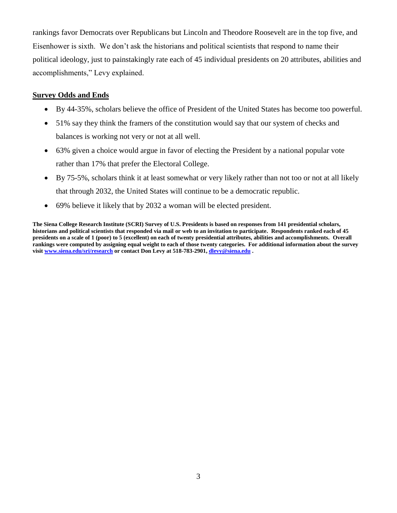rankings favor Democrats over Republicans but Lincoln and Theodore Roosevelt are in the top five, and Eisenhower is sixth. We don't ask the historians and political scientists that respond to name their political ideology, just to painstakingly rate each of 45 individual presidents on 20 attributes, abilities and accomplishments," Levy explained.

## **Survey Odds and Ends**

- By 44-35%, scholars believe the office of President of the United States has become too powerful.
- 51% say they think the framers of the constitution would say that our system of checks and balances is working not very or not at all well.
- 63% given a choice would argue in favor of electing the President by a national popular vote rather than 17% that prefer the Electoral College.
- By 75-5%, scholars think it at least somewhat or very likely rather than not too or not at all likely that through 2032, the United States will continue to be a democratic republic.
- 69% believe it likely that by 2032 a woman will be elected president.

**The Siena College Research Institute (SCRI) Survey of U.S. Presidents is based on responses from 141 presidential scholars, historians and political scientists that responded via mail or web to an invitation to participate. Respondents ranked each of 45 presidents on a scale of 1 (poor) to 5 (excellent) on each of twenty presidential attributes, abilities and accomplishments. Overall rankings were computed by assigning equal weight to each of those twenty categories. For additional information about the survey visi[t www.siena.edu/sri/research](http://www.siena.edu/sri/research) or contact Don Levy at 518-783-2901[, dlevy@siena.edu](mailto:dlevy@siena.edu) .**